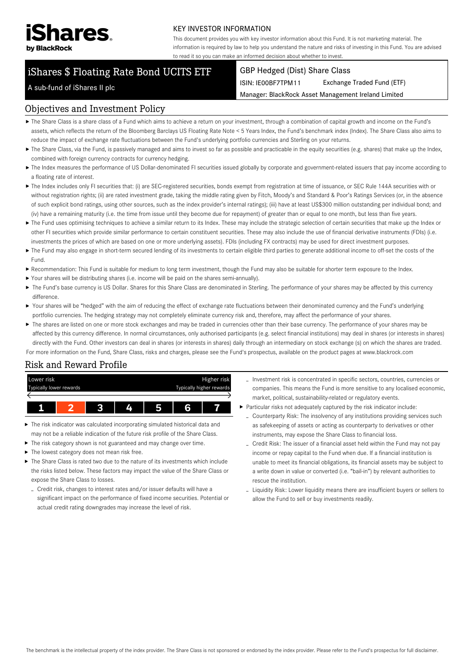

#### KEY INVESTOR INFORMATION

This document provides you with key investor information about this Fund. It is not marketing material. The information is required by law to help you understand the nature and risks of investing in this Fund. You are advised to read it so you can make an informed decision about whether to invest.

# iShares \$ Floating Rate Bond UCITS ETF

#### GBP Hedged (Dist) Share Class

ISIN: IE00BF7TPM11 Exchange Traded Fund (ETF)

Manager: BlackRock Asset Management Ireland Limited

#### A sub-fund of iShares II plc

#### Objectives and Investment Policy

- The Share Class is a share class of a Fund which aims to achieve a return on your investment, through a combination of capital growth and income on the Fund's assets, which reflects the return of the Bloomberg Barclays US Floating Rate Note < 5 Years Index, the Fund's benchmark index (Index). The Share Class also aims to reduce the impact of exchange rate fluctuations between the Fund's underlying portfolio currencies and Sterling on your returns.
- ▶ The Share Class, via the Fund, is passively managed and aims to invest so far as possible and practicable in the equity securities (e.g. shares) that make up the Index, combined with foreign currency contracts for currency hedging.
- ▶ The Index measures the performance of US Dollar-denominated FI securities issued globally by corporate and government-related issuers that pay income according to a floating rate of interest.
- ▶ The Index includes only FI securities that: (i) are SEC-registered securities, bonds exempt from registration at time of issuance, or SEC Rule 144A securities with or without registration rights; (ii) are rated investment grade, taking the middle rating given by Fitch, Moody's and Standard & Poor's Ratings Services (or, in the absence of such explicit bond ratings, using other sources, such as the index provider's internal ratings); (iii) have at least US\$300 million outstanding per individual bond; and (iv) have a remaining maturity (i.e. the time from issue until they become due for repayment) of greater than or equal to one month, but less than five years.
- ▶ The Fund uses optimising techniques to achieve a similar return to its Index. These may include the strategic selection of certain securities that make up the Index or other FI securities which provide similar performance to certain constituent securities. These may also include the use of financial derivative instruments (FDIs) (i.e. investments the prices of which are based on one or more underlying assets). FDIs (including FX contracts) may be used for direct investment purposes.
- ▶ The Fund may also engage in short-term secured lending of its investments to certain eligible third parties to generate additional income to off-set the costs of the Fund.
- Recommendation: This Fund is suitable for medium to long term investment, though the Fund may also be suitable for shorter term exposure to the Index.
- Your shares will be distributing shares (i.e. income will be paid on the shares semi-annually).
- ▶ The Fund's base currency is US Dollar. Shares for this Share Class are denominated in Sterling. The performance of your shares may be affected by this currency difference.
- ▶ Your shares will be "hedged" with the aim of reducing the effect of exchange rate fluctuations between their denominated currency and the Fund's underlying portfolio currencies. The hedging strategy may not completely eliminate currency risk and, therefore, may affect the performance of your shares.
- ▶ The shares are listed on one or more stock exchanges and may be traded in currencies other than their base currency. The performance of your shares may be affected by this currency difference. In normal circumstances, only authorised participants (e.g. select financial institutions) may deal in shares (or interests in shares) directly with the Fund. Other investors can deal in shares (or interests in shares) daily through an intermediary on stock exchange (s) on which the shares are traded.

For more information on the Fund, Share Class, risks and charges, please see the Fund's prospectus, available on the product pages at www.blackrock.com

## Risk and Reward Profile



- ▶ The risk indicator was calculated incorporating simulated historical data and may not be a reliable indication of the future risk profile of the Share Class.
- ь The risk category shown is not guaranteed and may change over time.
- ▶ The lowest category does not mean risk free.
- ▶ The Share Class is rated two due to the nature of its investments which include the risks listed below. These factors may impact the value of the Share Class or expose the Share Class to losses.
- Credit risk, changes to interest rates and/or issuer defaults will have a significant impact on the performance of fixed income securities. Potential or actual credit rating downgrades may increase the level of risk.
- Investment risk is concentrated in specific sectors, countries, currencies or companies. This means the Fund is more sensitive to any localised economic, market, political, sustainability-related or regulatory events.
- Particular risks not adequately captured by the risk indicator include:
	- Counterparty Risk: The insolvency of any institutions providing services such as safekeeping of assets or acting as counterparty to derivatives or other instruments, may expose the Share Class to financial loss.
	- Credit Risk: The issuer of a financial asset held within the Fund may not pay income or repay capital to the Fund when due. If a financial institution is unable to meet its financial obligations, its financial assets may be subject to a write down in value or converted (i.e. "bail-in") by relevant authorities to rescue the institution.
	- Liquidity Risk: Lower liquidity means there are insufficient buyers or sellers to allow the Fund to sell or buy investments readily.